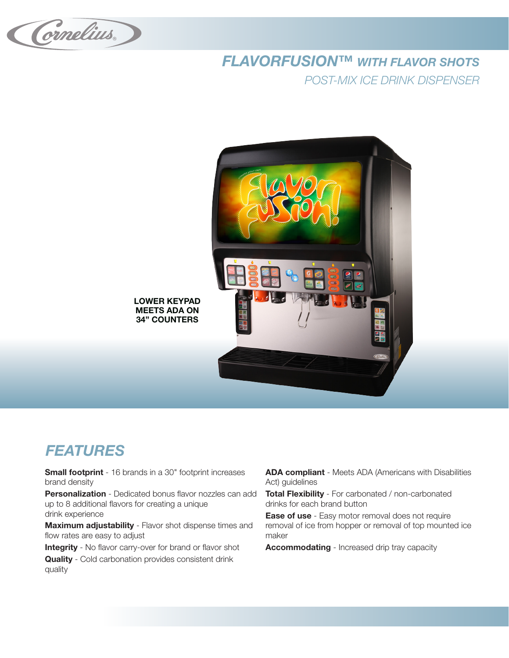Cornelius

## *FLAVORFUSION™ WITH FLAVOR SHOTS*

*POST-MIX ICE DRINK DISPENSER*



## *FEATURES*

**Small footprint** - 16 brands in a 30" footprint increases brand density

**Personalization** - Dedicated bonus flavor nozzles can add up to 8 additional flavors for creating a unique drink experience

Maximum adjustability - Flavor shot dispense times and flow rates are easy to adjust

**Integrity** - No flavor carry-over for brand or flavor shot

Quality - Cold carbonation provides consistent drink quality

ADA compliant - Meets ADA (Americans with Disabilities Act) guidelines

Total Flexibility - For carbonated / non-carbonated drinks for each brand button

**Ease of use** - Easy motor removal does not require removal of ice from hopper or removal of top mounted ice maker

Accommodating - Increased drip tray capacity